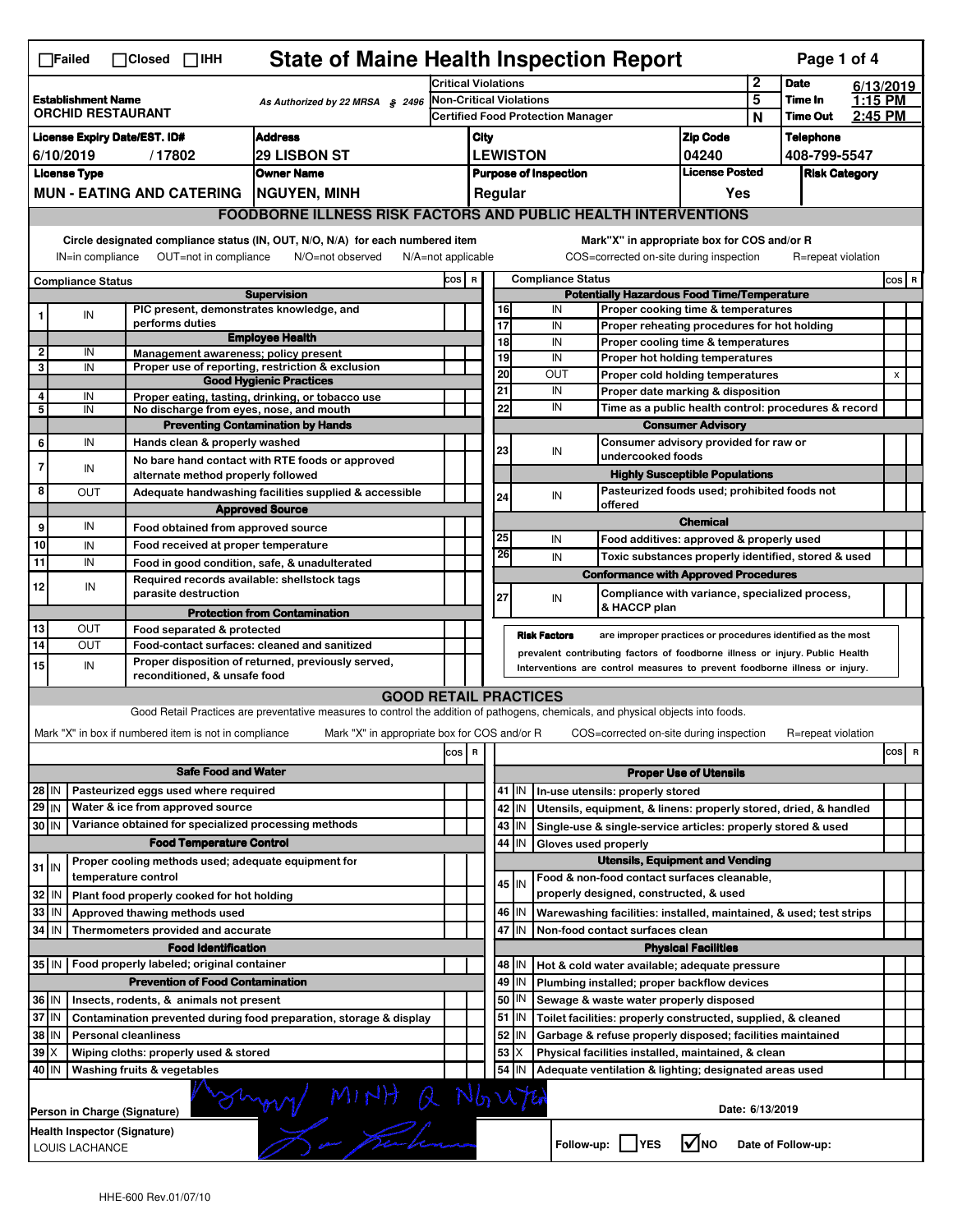|                                                                                          | <b>State of Maine Health Inspection Report</b><br>Page 1 of 4<br>$\Box$ Failed<br>$\Box$ Closed $\Box$ IHH                                                                                                                                                                                |                             |                                                                             |                                                                                                                                   |                                                                     |                                                                                                |                 |                                        |                                                                                                     |                                       |              |                            |                    |       |           |  |
|------------------------------------------------------------------------------------------|-------------------------------------------------------------------------------------------------------------------------------------------------------------------------------------------------------------------------------------------------------------------------------------------|-----------------------------|-----------------------------------------------------------------------------|-----------------------------------------------------------------------------------------------------------------------------------|---------------------------------------------------------------------|------------------------------------------------------------------------------------------------|-----------------|----------------------------------------|-----------------------------------------------------------------------------------------------------|---------------------------------------|--------------|----------------------------|--------------------|-------|-----------|--|
|                                                                                          |                                                                                                                                                                                                                                                                                           |                             |                                                                             |                                                                                                                                   | <b>Critical Violations</b>                                          |                                                                                                |                 |                                        |                                                                                                     |                                       | $\mathbf{2}$ |                            | <b>Date</b>        |       | 6/13/2019 |  |
| <b>Establishment Name</b><br>As Authorized by 22 MRSA § 2496<br><b>ORCHID RESTAURANT</b> |                                                                                                                                                                                                                                                                                           |                             |                                                                             |                                                                                                                                   | Non-Critical Violations<br><b>Certified Food Protection Manager</b> |                                                                                                |                 |                                        |                                                                                                     | 5                                     |              | Time In<br><b>Time Out</b> | 1:15 PM<br>2:45 PM |       |           |  |
|                                                                                          | <b>Address</b><br><b>License Expiry Date/EST. ID#</b>                                                                                                                                                                                                                                     |                             |                                                                             |                                                                                                                                   |                                                                     |                                                                                                |                 |                                        |                                                                                                     |                                       | N            |                            | <b>Telephone</b>   |       |           |  |
| <b>29 LISBON ST</b><br>6/10/2019<br>/17802                                               |                                                                                                                                                                                                                                                                                           |                             |                                                                             |                                                                                                                                   |                                                                     | <b>Zip Code</b><br>City<br><b>LEWISTON</b><br>04240                                            |                 |                                        |                                                                                                     |                                       | 408-799-5547 |                            |                    |       |           |  |
| <b>Owner Name</b><br><b>License Type</b>                                                 |                                                                                                                                                                                                                                                                                           |                             |                                                                             |                                                                                                                                   |                                                                     | <b>License Posted</b><br><b>Purpose of Inspection</b>                                          |                 |                                        |                                                                                                     | <b>Risk Category</b>                  |              |                            |                    |       |           |  |
|                                                                                          | MUN - EATING AND CATERING   NGUYEN, MINH                                                                                                                                                                                                                                                  |                             |                                                                             |                                                                                                                                   |                                                                     |                                                                                                |                 | Regular                                |                                                                                                     |                                       | Yes          |                            |                    |       |           |  |
|                                                                                          | <b>FOODBORNE ILLNESS RISK FACTORS AND PUBLIC HEALTH INTERVENTIONS</b>                                                                                                                                                                                                                     |                             |                                                                             |                                                                                                                                   |                                                                     |                                                                                                |                 |                                        |                                                                                                     |                                       |              |                            |                    |       |           |  |
|                                                                                          | Circle designated compliance status (IN, OUT, N/O, N/A) for each numbered item<br>Mark"X" in appropriate box for COS and/or R<br>OUT=not in compliance<br>COS=corrected on-site during inspection<br>IN=in compliance<br>N/O=not observed<br>$N/A = not$ applicable<br>R=repeat violation |                             |                                                                             |                                                                                                                                   |                                                                     |                                                                                                |                 |                                        |                                                                                                     |                                       |              |                            |                    |       |           |  |
| <b>Compliance Status</b>                                                                 |                                                                                                                                                                                                                                                                                           |                             |                                                                             |                                                                                                                                   |                                                                     | <b>Compliance Status</b><br>COS R                                                              |                 |                                        |                                                                                                     |                                       |              |                            |                    | COS R |           |  |
| <b>Supervision</b><br>PIC present, demonstrates knowledge, and                           |                                                                                                                                                                                                                                                                                           |                             |                                                                             |                                                                                                                                   |                                                                     | <b>Potentially Hazardous Food Time/Temperature</b><br>16<br>Proper cooking time & temperatures |                 |                                        |                                                                                                     |                                       |              |                            |                    |       |           |  |
|                                                                                          | IN                                                                                                                                                                                                                                                                                        |                             | performs duties                                                             |                                                                                                                                   |                                                                     |                                                                                                | $\overline{17}$ |                                        | IN<br>IN<br>Proper reheating procedures for hot holding                                             |                                       |              |                            |                    |       |           |  |
|                                                                                          |                                                                                                                                                                                                                                                                                           |                             |                                                                             | <b>Employee Health</b>                                                                                                            |                                                                     |                                                                                                |                 | 18                                     | IN<br>Proper cooling time & temperatures                                                            |                                       |              |                            |                    |       |           |  |
| 2                                                                                        | IN                                                                                                                                                                                                                                                                                        |                             |                                                                             | Management awareness; policy present                                                                                              |                                                                     |                                                                                                |                 | 19                                     | IN<br>Proper hot holding temperatures                                                               |                                       |              |                            |                    |       |           |  |
| 3                                                                                        | IN                                                                                                                                                                                                                                                                                        |                             |                                                                             | Proper use of reporting, restriction & exclusion<br><b>Good Hygienic Practices</b>                                                |                                                                     |                                                                                                | $\overline{20}$ |                                        | OUT<br>Proper cold holding temperatures                                                             |                                       |              |                            |                    |       | X         |  |
| 4                                                                                        | IN                                                                                                                                                                                                                                                                                        |                             |                                                                             | Proper eating, tasting, drinking, or tobacco use                                                                                  |                                                                     |                                                                                                | 21              |                                        | IN                                                                                                  | Proper date marking & disposition     |              |                            |                    |       |           |  |
| 5                                                                                        | IN                                                                                                                                                                                                                                                                                        |                             |                                                                             | No discharge from eyes, nose, and mouth                                                                                           |                                                                     |                                                                                                | 22              |                                        | IN<br>Time as a public health control: procedures & record                                          |                                       |              |                            |                    |       |           |  |
|                                                                                          |                                                                                                                                                                                                                                                                                           |                             |                                                                             | <b>Preventing Contamination by Hands</b>                                                                                          |                                                                     |                                                                                                |                 |                                        |                                                                                                     | <b>Consumer Advisory</b>              |              |                            |                    |       |           |  |
| 6                                                                                        | IN                                                                                                                                                                                                                                                                                        |                             | Hands clean & properly washed                                               | No bare hand contact with RTE foods or approved                                                                                   |                                                                     |                                                                                                | 23              |                                        | Consumer advisory provided for raw or<br>IN<br>undercooked foods                                    |                                       |              |                            |                    |       |           |  |
| 7                                                                                        | IN                                                                                                                                                                                                                                                                                        |                             | alternate method properly followed                                          |                                                                                                                                   |                                                                     |                                                                                                |                 |                                        |                                                                                                     | <b>Highly Susceptible Populations</b> |              |                            |                    |       |           |  |
| 8                                                                                        | <b>OUT</b>                                                                                                                                                                                                                                                                                |                             |                                                                             | Adequate handwashing facilities supplied & accessible                                                                             |                                                                     |                                                                                                |                 | 24                                     | Pasteurized foods used; prohibited foods not<br>IN                                                  |                                       |              |                            |                    |       |           |  |
|                                                                                          |                                                                                                                                                                                                                                                                                           |                             |                                                                             | <b>Approved Source</b>                                                                                                            |                                                                     |                                                                                                |                 |                                        | offered                                                                                             |                                       |              |                            |                    |       |           |  |
| 9                                                                                        | IN                                                                                                                                                                                                                                                                                        |                             | Food obtained from approved source                                          |                                                                                                                                   |                                                                     |                                                                                                |                 |                                        |                                                                                                     | <b>Chemical</b>                       |              |                            |                    |       |           |  |
| 10                                                                                       | IN                                                                                                                                                                                                                                                                                        |                             | Food received at proper temperature                                         |                                                                                                                                   |                                                                     |                                                                                                | 25              | 26                                     | IN<br>Food additives: approved & properly used                                                      |                                       |              |                            |                    |       |           |  |
| 11                                                                                       | IN                                                                                                                                                                                                                                                                                        |                             |                                                                             | Food in good condition, safe, & unadulterated                                                                                     |                                                                     |                                                                                                |                 |                                        | IN<br>Toxic substances properly identified, stored & used                                           |                                       |              |                            |                    |       |           |  |
| 12                                                                                       | IN                                                                                                                                                                                                                                                                                        |                             | parasite destruction                                                        | Required records available: shellstock tags                                                                                       |                                                                     |                                                                                                | 27              |                                        | <b>Conformance with Approved Procedures</b><br>Compliance with variance, specialized process,<br>IN |                                       |              |                            |                    |       |           |  |
|                                                                                          |                                                                                                                                                                                                                                                                                           |                             |                                                                             | <b>Protection from Contamination</b>                                                                                              |                                                                     |                                                                                                |                 |                                        | & HACCP plan                                                                                        |                                       |              |                            |                    |       |           |  |
| 13                                                                                       | OUT                                                                                                                                                                                                                                                                                       |                             | Food separated & protected                                                  |                                                                                                                                   |                                                                     |                                                                                                |                 |                                        | <b>Risk Factors</b><br>are improper practices or procedures identified as the most                  |                                       |              |                            |                    |       |           |  |
| 14                                                                                       | OUT                                                                                                                                                                                                                                                                                       |                             |                                                                             | Food-contact surfaces: cleaned and sanitized                                                                                      |                                                                     |                                                                                                |                 |                                        | prevalent contributing factors of foodborne illness or injury. Public Health                        |                                       |              |                            |                    |       |           |  |
| 15                                                                                       | Proper disposition of returned, previously served,<br>IN<br>Interventions are control measures to prevent foodborne illness or injury.<br>reconditioned, & unsafe food                                                                                                                    |                             |                                                                             |                                                                                                                                   |                                                                     |                                                                                                |                 |                                        |                                                                                                     |                                       |              |                            |                    |       |           |  |
|                                                                                          |                                                                                                                                                                                                                                                                                           |                             |                                                                             | <b>GOOD RETAIL PRACTICES</b>                                                                                                      |                                                                     |                                                                                                |                 |                                        |                                                                                                     |                                       |              |                            |                    |       |           |  |
|                                                                                          |                                                                                                                                                                                                                                                                                           |                             |                                                                             | Good Retail Practices are preventative measures to control the addition of pathogens, chemicals, and physical objects into foods. |                                                                     |                                                                                                |                 |                                        |                                                                                                     |                                       |              |                            |                    |       |           |  |
|                                                                                          |                                                                                                                                                                                                                                                                                           |                             | Mark "X" in box if numbered item is not in compliance                       | Mark "X" in appropriate box for COS and/or R                                                                                      |                                                                     |                                                                                                |                 |                                        | COS=corrected on-site during inspection                                                             |                                       |              |                            | R=repeat violation |       |           |  |
|                                                                                          |                                                                                                                                                                                                                                                                                           |                             |                                                                             |                                                                                                                                   | cos                                                                 | R                                                                                              |                 |                                        |                                                                                                     |                                       |              |                            |                    |       | cos<br>R  |  |
|                                                                                          |                                                                                                                                                                                                                                                                                           |                             | <b>Safe Food and Water</b>                                                  |                                                                                                                                   |                                                                     |                                                                                                |                 |                                        |                                                                                                     | <b>Proper Use of Utensils</b>         |              |                            |                    |       |           |  |
| 28 IN                                                                                    |                                                                                                                                                                                                                                                                                           |                             | Pasteurized eggs used where required                                        |                                                                                                                                   |                                                                     |                                                                                                |                 | 41   IN                                | In-use utensils: properly stored                                                                    |                                       |              |                            |                    |       |           |  |
| 29 IN                                                                                    |                                                                                                                                                                                                                                                                                           |                             | Water & ice from approved source                                            |                                                                                                                                   |                                                                     |                                                                                                |                 | 42 IN                                  | Utensils, equipment, & linens: properly stored, dried, & handled                                    |                                       |              |                            |                    |       |           |  |
| 30 IN                                                                                    |                                                                                                                                                                                                                                                                                           |                             |                                                                             | Variance obtained for specialized processing methods                                                                              |                                                                     |                                                                                                |                 | 43   IN                                | Single-use & single-service articles: properly stored & used                                        |                                       |              |                            |                    |       |           |  |
|                                                                                          |                                                                                                                                                                                                                                                                                           |                             | <b>Food Temperature Control</b>                                             |                                                                                                                                   |                                                                     |                                                                                                |                 | 44<br>IN                               | Gloves used properly                                                                                |                                       |              |                            |                    |       |           |  |
| $31$ M                                                                                   |                                                                                                                                                                                                                                                                                           |                             |                                                                             | Proper cooling methods used; adequate equipment for                                                                               |                                                                     |                                                                                                |                 | <b>Utensils, Equipment and Vending</b> |                                                                                                     |                                       |              |                            |                    |       |           |  |
| 32                                                                                       | IN                                                                                                                                                                                                                                                                                        | temperature control         |                                                                             |                                                                                                                                   |                                                                     |                                                                                                |                 | 45 IN                                  | Food & non-food contact surfaces cleanable,<br>properly designed, constructed, & used               |                                       |              |                            |                    |       |           |  |
| 33                                                                                       | IN                                                                                                                                                                                                                                                                                        |                             | Plant food properly cooked for hot holding<br>Approved thawing methods used |                                                                                                                                   |                                                                     |                                                                                                |                 | 46   IN                                | Warewashing facilities: installed, maintained, & used; test strips                                  |                                       |              |                            |                    |       |           |  |
| 34                                                                                       | l IN                                                                                                                                                                                                                                                                                      |                             | Thermometers provided and accurate                                          |                                                                                                                                   |                                                                     |                                                                                                |                 | 47<br>IΙN                              | Non-food contact surfaces clean                                                                     |                                       |              |                            |                    |       |           |  |
|                                                                                          |                                                                                                                                                                                                                                                                                           |                             | <b>Food Identification</b>                                                  |                                                                                                                                   |                                                                     | <b>Physical Facilities</b>                                                                     |                 |                                        |                                                                                                     |                                       |              |                            |                    |       |           |  |
|                                                                                          |                                                                                                                                                                                                                                                                                           |                             | 35 IN   Food properly labeled; original container                           |                                                                                                                                   |                                                                     | 48<br>ΙN<br>Hot & cold water available; adequate pressure                                      |                 |                                        |                                                                                                     |                                       |              |                            |                    |       |           |  |
|                                                                                          |                                                                                                                                                                                                                                                                                           |                             | <b>Prevention of Food Contamination</b>                                     |                                                                                                                                   |                                                                     | 49 IN<br>Plumbing installed; proper backflow devices                                           |                 |                                        |                                                                                                     |                                       |              |                            |                    |       |           |  |
| 36 IN                                                                                    |                                                                                                                                                                                                                                                                                           |                             | Insects, rodents, & animals not present                                     |                                                                                                                                   |                                                                     |                                                                                                |                 | 50   IN                                | Sewage & waste water properly disposed                                                              |                                       |              |                            |                    |       |           |  |
| 37 IN                                                                                    |                                                                                                                                                                                                                                                                                           |                             |                                                                             | Contamination prevented during food preparation, storage & display                                                                |                                                                     |                                                                                                |                 | 51 J IN                                | Toilet facilities: properly constructed, supplied, & cleaned                                        |                                       |              |                            |                    |       |           |  |
| 38                                                                                       | ΙM                                                                                                                                                                                                                                                                                        | <b>Personal cleanliness</b> |                                                                             |                                                                                                                                   |                                                                     |                                                                                                |                 | 52<br>IN                               | Garbage & refuse properly disposed; facilities maintained                                           |                                       |              |                            |                    |       |           |  |
| 39                                                                                       | ıх                                                                                                                                                                                                                                                                                        |                             | Wiping cloths: properly used & stored                                       |                                                                                                                                   |                                                                     |                                                                                                |                 | 53<br>Х                                | Physical facilities installed, maintained, & clean                                                  |                                       |              |                            |                    |       |           |  |
|                                                                                          | 40 IN<br>Washing fruits & vegetables<br>54<br>Adequate ventilation & lighting; designated areas used<br>IN                                                                                                                                                                                |                             |                                                                             |                                                                                                                                   |                                                                     |                                                                                                |                 |                                        |                                                                                                     |                                       |              |                            |                    |       |           |  |
|                                                                                          | mony MINH Q<br>Nbrutti<br>Date: 6/13/2019<br>Person in Charge (Signature)                                                                                                                                                                                                                 |                             |                                                                             |                                                                                                                                   |                                                                     |                                                                                                |                 |                                        |                                                                                                     |                                       |              |                            |                    |       |           |  |
|                                                                                          | Health Inspector (Signature)<br>l√lno<br>Follow-up:  <br><b>IYES</b><br>Date of Follow-up:<br>LOUIS LACHANCE                                                                                                                                                                              |                             |                                                                             |                                                                                                                                   |                                                                     |                                                                                                |                 |                                        |                                                                                                     |                                       |              |                            |                    |       |           |  |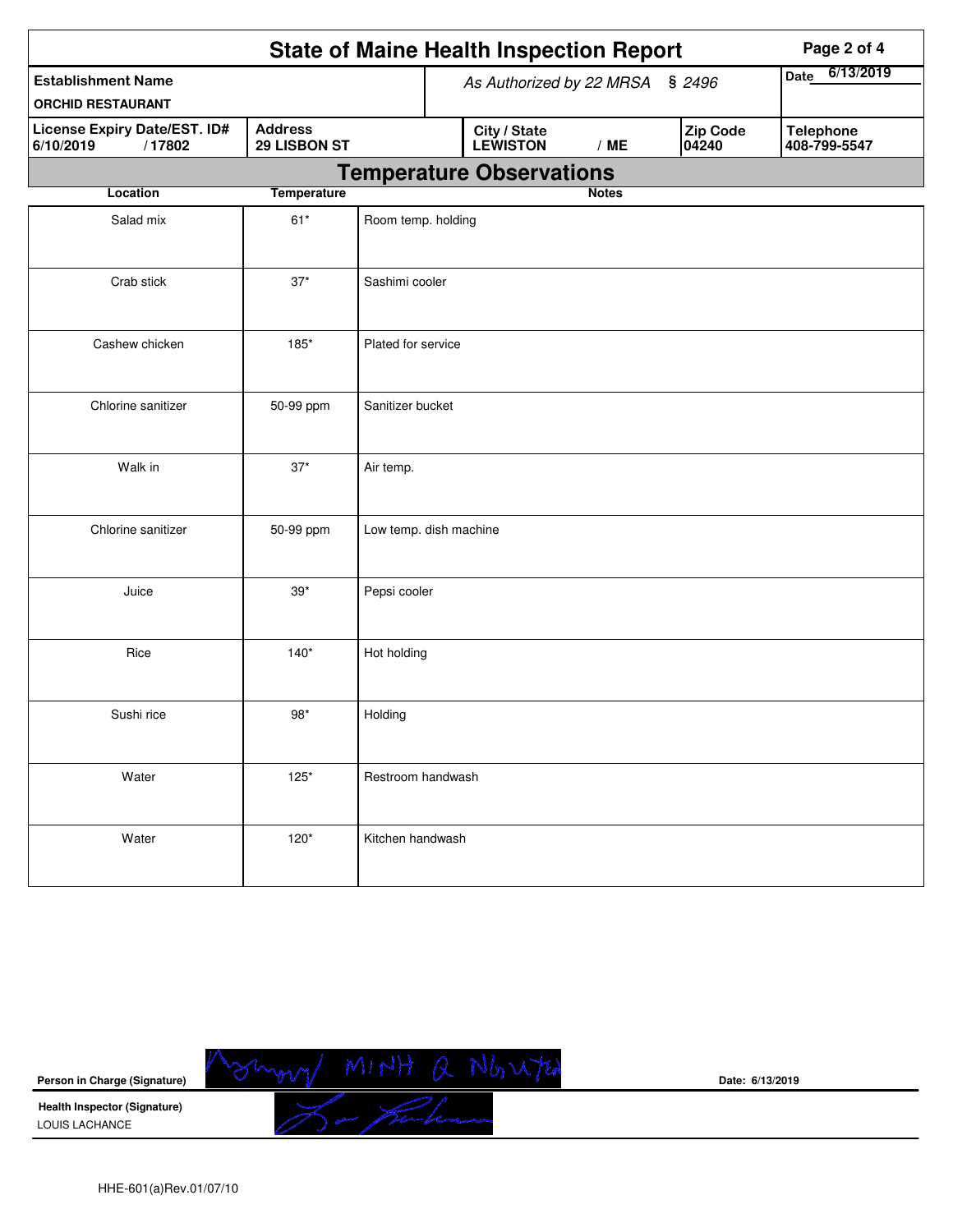|                                                       | Page 2 of 4                     |                                 |  |                          |              |                          |                                  |
|-------------------------------------------------------|---------------------------------|---------------------------------|--|--------------------------|--------------|--------------------------|----------------------------------|
| <b>Establishment Name</b><br><b>ORCHID RESTAURANT</b> |                                 | As Authorized by 22 MRSA § 2496 |  |                          |              | 6/13/2019<br><b>Date</b> |                                  |
| License Expiry Date/EST. ID#<br>/17802<br>6/10/2019   | <b>Address</b><br>29 LISBON ST  |                                 |  | City / State<br>LEWISTON | /ME          | <b>Zip Code</b><br>04240 | <b>Telephone</b><br>408-799-5547 |
|                                                       | <b>Temperature Observations</b> |                                 |  |                          |              |                          |                                  |
| <b>Location</b>                                       | <b>Temperature</b>              |                                 |  |                          | <b>Notes</b> |                          |                                  |
| Salad mix                                             | $61*$                           | Room temp. holding              |  |                          |              |                          |                                  |
| Crab stick                                            | $37^{\star}$                    | Sashimi cooler                  |  |                          |              |                          |                                  |
| Cashew chicken                                        | 185*                            | Plated for service              |  |                          |              |                          |                                  |
| Chlorine sanitizer                                    | 50-99 ppm                       | Sanitizer bucket                |  |                          |              |                          |                                  |
| Walk in                                               | $37^{\star}$                    | Air temp.                       |  |                          |              |                          |                                  |
| Chlorine sanitizer                                    | 50-99 ppm                       | Low temp. dish machine          |  |                          |              |                          |                                  |
| Juice                                                 | $39*$                           | Pepsi cooler                    |  |                          |              |                          |                                  |
| Rice                                                  | $140*$                          | Hot holding                     |  |                          |              |                          |                                  |
| Sushi rice                                            | $98*$                           | Holding                         |  |                          |              |                          |                                  |
| Water                                                 | $125*$                          | Restroom handwash               |  |                          |              |                          |                                  |
| Water                                                 | $120*$                          | Kitchen handwash                |  |                          |              |                          |                                  |



**Date: 6/13/2019**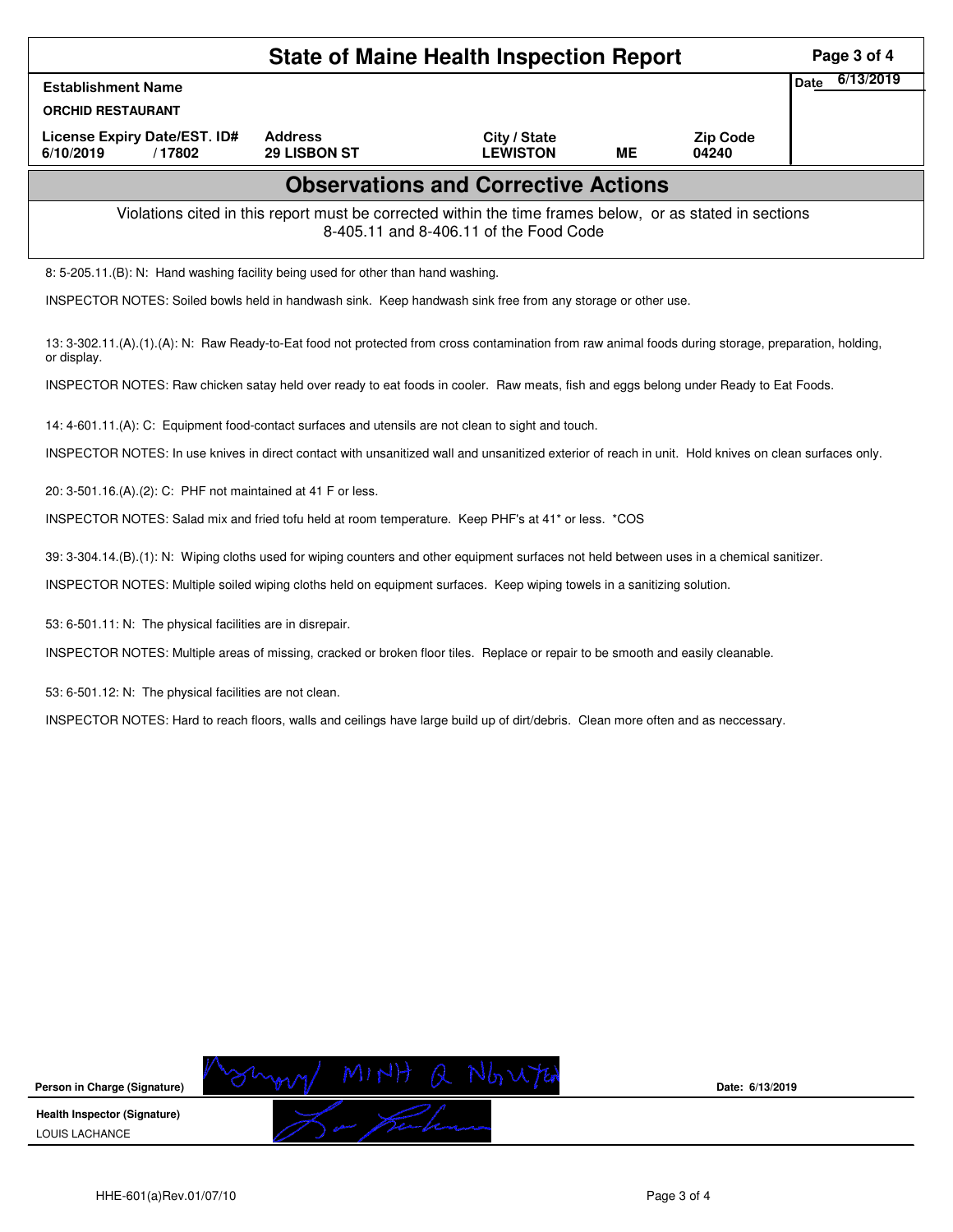| <b>State of Maine Health Inspection Report</b>                                                                                                                       |                                       |                                 |    |                          |  |  |  |  |
|----------------------------------------------------------------------------------------------------------------------------------------------------------------------|---------------------------------------|---------------------------------|----|--------------------------|--|--|--|--|
| <b>Establishment Name</b>                                                                                                                                            |                                       |                                 |    |                          |  |  |  |  |
| <b>ORCHID RESTAURANT</b>                                                                                                                                             |                                       |                                 |    |                          |  |  |  |  |
| License Expiry Date/EST. ID#<br>6/10/2019<br>/17802                                                                                                                  | <b>Address</b><br><b>29 LISBON ST</b> | City / State<br><b>LEWISTON</b> | ME | <b>Zip Code</b><br>04240 |  |  |  |  |
| <b>Observations and Corrective Actions</b>                                                                                                                           |                                       |                                 |    |                          |  |  |  |  |
| Violations cited in this report must be corrected within the time frames below, or as stated in sections<br>8-405.11 and 8-406.11 of the Food Code                   |                                       |                                 |    |                          |  |  |  |  |
| 8: 5-205.11.(B): N: Hand washing facility being used for other than hand washing.                                                                                    |                                       |                                 |    |                          |  |  |  |  |
| INSPECTOR NOTES: Soiled bowls held in handwash sink. Keep handwash sink free from any storage or other use.                                                          |                                       |                                 |    |                          |  |  |  |  |
| 13: 3-302.11.(A).(1).(A): N: Raw Ready-to-Eat food not protected from cross contamination from raw animal foods during storage, preparation, holding,<br>or display. |                                       |                                 |    |                          |  |  |  |  |
| INSPECTOR NOTES: Raw chicken satay held over ready to eat foods in cooler. Raw meats, fish and eggs belong under Ready to Eat Foods.                                 |                                       |                                 |    |                          |  |  |  |  |
| 14: 4-601.11.(A): C: Equipment food-contact surfaces and utensils are not clean to sight and touch.                                                                  |                                       |                                 |    |                          |  |  |  |  |

INSPECTOR NOTES: In use knives in direct contact with unsanitized wall and unsanitized exterior of reach in unit. Hold knives on clean surfaces only.

20: 3-501.16.(A).(2): C: PHF not maintained at 41 F or less.

INSPECTOR NOTES: Salad mix and fried tofu held at room temperature. Keep PHF's at 41\* or less. \*COS

39: 3-304.14.(B).(1): N: Wiping cloths used for wiping counters and other equipment surfaces not held between uses in a chemical sanitizer.

INSPECTOR NOTES: Multiple soiled wiping cloths held on equipment surfaces. Keep wiping towels in a sanitizing solution.

53: 6-501.11: N: The physical facilities are in disrepair.

INSPECTOR NOTES: Multiple areas of missing, cracked or broken floor tiles. Replace or repair to be smooth and easily cleanable.

53: 6-501.12: N: The physical facilities are not clean.

INSPECTOR NOTES: Hard to reach floors, walls and ceilings have large build up of dirt/debris. Clean more often and as neccessary.



**Date: 6/13/2019**